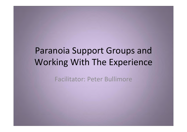# **Paranoia Support Groups and Working With The Experience**

**Facilitator: Peter Bullimore**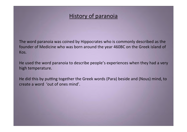### History of paranoia

The word paranoia was coined by Hippocrates who is commonly described as the founder of Medicine who was born around the year 460BC on the Greek island of Kos.

He used the word paranoia to describe people's experiences when they had a very high temperature.

He did this by putting together the Greek words (Para) beside and (Nous) mind, to create a word 'out of ones mind'.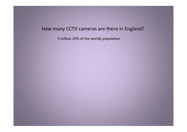### How many CCTV cameras are there in England?

5 million 20% of the worlds population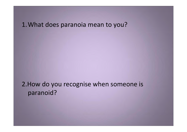### 1. What does paranoia mean to you?

2.How do you recognise when someone is paranoid?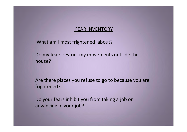#### 'FEAR'INVENTORY

What am I most frightened about?

Do my fears restrict my movements outside the house?

Are there places you refuse to go to because you are frightened?

Do your fears inhibit you from taking a job or advancing in your job?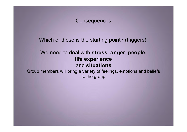#### **Consequences**

Which of these is the starting point? (triggers).

### We need to deal with **stress**, **anger**, **people, life experience** and **situations**.

Group members will bring a variety of feelings, emotions and beliefs to the group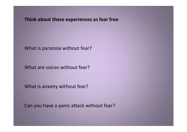Think about these experiences as fear free

What is paranoia without fear?

What are voices without fear?

What is anxiety without fear?

Can you have a panic attack without fear?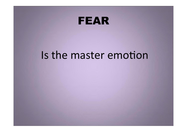

# Is the master emotion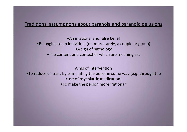#### Traditional assumptions about paranoia and paranoid delusions

 $\bullet$ An irrational and false belief •Belonging to an individual (or, more rarely, a couple or group) • A sign of pathology •The content and context of which are meaningless

Aims of intervention

• To reduce distress by eliminating the belief in some way (e.g. through the •use of psychiatric medication) •To make the person more 'rational'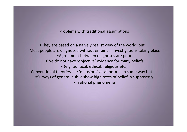#### Problems with traditional assumptions

•They are based on a naively realist view of the world, but.... -Most people are diagnosed without empirical investigations taking place • Agreement between diagnoses are poor •We do not have 'objective' evidence for many beliefs • (e.g. political, ethical, religious etc.) Conventional theories see 'delusions' as abnormal in some way but .... • Surveys of general public show high rates of belief in supposedly • irrational phenomena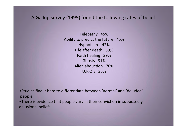### A Gallup survey (1995) found the following rates of belief:

Telepathy 45% Ability to predict the future 45% Hypnotism 42% Life after death 39% Faith healing 39% Ghosts 31% Alien abduction 70%  $U.F.O's 35%$ 

•Studies find it hard to differentiate between 'normal' and 'deluded' 'people

•There is evidence that people vary in their conviction in supposedly delusional beliefs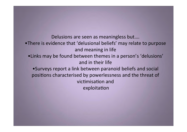Delusions are seen as meaningless but.... •There is evidence that 'delusional beliefs' may relate to purpose and meaning in life •Links may be found between themes in a person's 'delusions' and in their life • Surveys report a link between paranoid beliefs and social positions characterised by powerlessness and the threat of victimisation and exploitation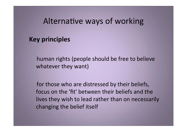## Alternative ways of working

### **Key principles**

human rights (people should be free to believe whatever they want)

for those who are distressed by their beliefs, focus on the 'fit' between their beliefs and the lives they wish to lead rather than on necessarily changing the belief itself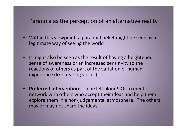### Paranoia as the perception of an alternative reality

- Within this viewpoint, a paranoid belief might be seen as a legitimate way of seeing the world
- It might also be seen as the result of having a heightened sense of awareness or an increased sensitivity to the reactions of others as part of the variation of human experience (like hearing voices)
- **Preferred intervention**: To be left alone! Or to meet or network with others who accept their ideas and help them explore them in a non-judgemental atmosphere. The others may or may not share the ideas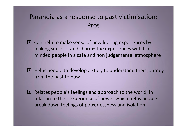## Paranoia as a response to past victimisation: Pros

- $\Box$  Can help to make sense of bewildering experiences by making sense of and sharing the experiences with likeminded people in a safe and non judgemental atmosphere
- $\blacksquare$  Helps people to develop a story to understand their journey from the past to now
- $\blacksquare$  Relates people's feelings and approach to the world, in relation to their experience of power which helps people break down feelings of powerlessness and isolation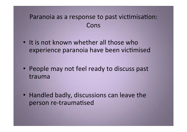## Paranoia as a response to past victimisation: Cons

- It is not known whether all those who experience paranoia have been victimised
- People may not feel ready to discuss past trauma
- Handled badly, discussions can leave the person re-traumatised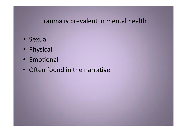## Trauma is prevalent in mental health

- · Sexual
- Physical
- · Emotional
- Often found in the narrative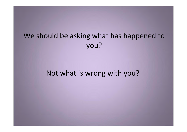## We should be asking what has happened to you?

## Not what is wrong with you?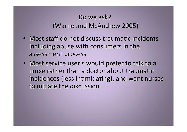## Do we ask? (Warne and McAndrew 2005)

- Most staff do not discuss traumatic incidents including abuse with consumers in the assessment process
- Most service user's would prefer to talk to a nurse rather than a doctor about traumatic incidences (less intimidating), and want nurses to initiate the discussion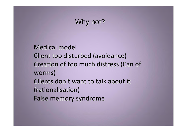## Why not?

Medical model Client too disturbed (avoidance) Creation of too much distress (Can of worms) Clients don't want to talk about it (rationalisation) False memory syndrome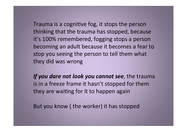Trauma is a cognitive fog, it stops the person thinking that the trauma has stopped, because it's 100% remembered, fogging stops a person becoming an adult because it becomes a fear to stop you seeing the person to tell them what they did was wrong

If you dare not look you cannot see, the trauma is in a freeze frame it hasn't stopped for them they are waiting for it to happen again

But you know (the worker) it has stopped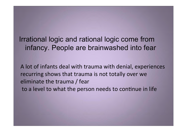Irrational logic and rational logic come from infancy. People are brainwashed into fear

A lot of infants deal with trauma with denial, experiences recurring shows that trauma is not totally over we eliminate the trauma / fear to a level to what the person needs to continue in life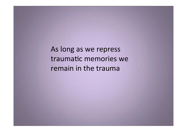As long as we repress traumatic memories we remain in the trauma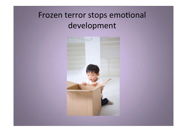# Frozen terror stops emotional development

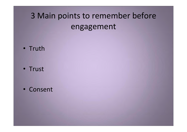# 3 Main points to remember before engagement

• Truth

• Trust

• Consent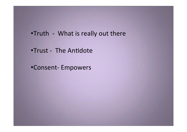- .Truth What is really out there
- •Trust The Antidote
- •Consent-Empowers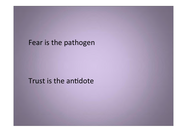## Fear is the pathogen

## Trust is the antidote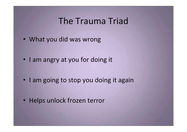## The Trauma Triad

- What you did was wrong
- I am angry at you for doing it
- I am going to stop you doing it again
- Helps unlock frozen terror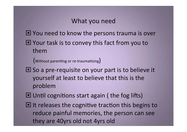## What you need

- $\blacksquare$  You need to know the persons trauma is over
- $\blacksquare$  Your task is to convey this fact from you to them

 $(w$ ithout parenting or re-traumatising)

- $\Box$  So a pre-requisite on your part is to believe it yourself at least to believe that this is the problem
- $\Box$  Until cognitions start again (the fog lifts)
- $\blacksquare$  It releases the cognitive traction this begins to reduce painful memories, the person can see they are 40yrs old not 4yrs old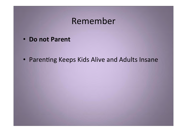## Remember

• Do not Parent

• Parenting Keeps Kids Alive and Adults Insane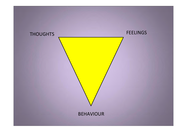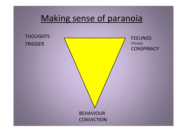# Making sense of paranoia

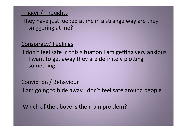### Trigger / Thoughts

They have just looked at me in a strange way are they sniggering at me?

## Conspiracy/Feelings

I don't feel safe in this situation I am getting very anxious I want to get away they are definitely plotting something.

### Conviction / Behaviour

I am going to hide away I don't feel safe around people

Which of the above is the main problem?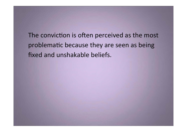The conviction is often perceived as the most problematic because they are seen as being fixed and unshakable beliefs.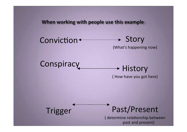When working with people use this example:

Conviction +  $\rightarrow$  Story (What's happening now)

**→ History** 

( How have you got here)



**Conspiracy** 

Past/Present

( determine relationship between past and present)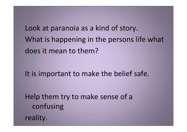Look at paranoia as a kind of story. What is happening in the persons life what does it mean to them?

It is important to make the belief safe.

Help them try to make sense of a confusing reality.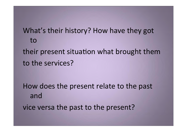What's their history? How have they got to their present situation what brought them to the services?

How does the present relate to the past and vice versa the past to the present?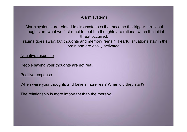#### Alarm systems

Alarm systems are related to circumstances that become the trigger. Irrational thoughts are what we first react to, but the thoughts are rational when the initial threat occurred.

Trauma goes away, but thoughts and memory remain. Fearful situations stay in the brain and are easily activated.

Negative response

People saying your thoughts are not real.

Positive response

When were your thoughts and beliefs more real? When did they start?

The relationship is more important than the therapy.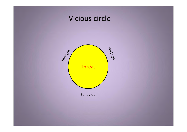## Vicious circle

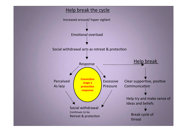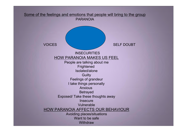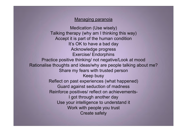#### Managing paranoia

Medication (Use wisely) Talking therapy (why am I thinking this way) Accept it is part of the human condition It's OK to have a bad day Acknowledge progress Exercise/ Endorphins Practice positive thinking/ not negative/Look at mood Rationalise thoughts and ideas/why are people talking about me? Share my fears with trusted person Keep busy Reflect on past experiences (what happened) Guard against seduction of madness Reinforce positives/ reflect on achievements-I got through another day Use your intelligence to understand it Work with people you trust Create safety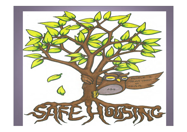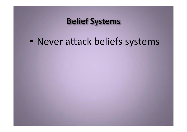# **Belief Systems**

• Never attack beliefs systems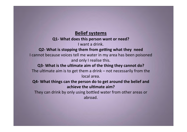### **Belief systems**

### **Q1- What does this person want or need?**

I want a drink.

**Q2- What is stopping them from getting what they need** I cannot because voices tell me water in my area has been poisoned and only I realise this.

### **Q3- What is the ultimate aim of the thing they cannot do?**

The ultimate aim is to get them a drink – not necessarily from the local'area.

**Q4- What things can the person do to get around the belief and** achieve the ultimate  $aim?$ 

They can drink by only using bottled water from other areas or abroad.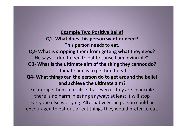### **Example Two Positive Belief**

**Q1- What does this person want or need?** This person needs to eat.

**Q2- What is stopping them from getting what they need?** 

He says "I don't need to eat because I am invincible".

- **Q3- What is the ultimate aim of the thing they cannot do?** Ultimate aim is to get him to eat.
- **Q4- What things can the person do to get around the belief** and achieve the ultimate aim?

Encourage them to realise that even if they are invincible there is no harm in eating anyway; at least it will stop everyone else worrying. Alternatively the person could be encouraged to eat out or eat things they would prefer to eat.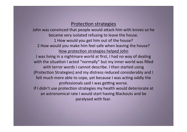### **Protection strategies**

John was convinced that people would attack him with knives so he became very isolated refusing to leave the house. 1 How would you get him out of the house? 2 How would you make him feel safe when leaving the house? How protection strategies helped John I'was living in a nightmare world at first, I had no way of dealing with the situation I acted "normally" but my inner world was filled with terror words I cannot describe. I then started using (Protection Strategies) and my distress reduced considerably and I felt much more able to cope, yet because I was acting oddly the professionals said I was getting worse. If I didn't use protection strategies my health would deteriorate at an astronomical rate I would start having Blackouts and be paralysed with fear.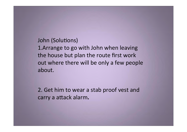John (Solutions) 1. Arrange to go with John when leaving the house but plan the route first work out where there will be only a few people about.

2. Get him to wear a stab proof vest and carry a attack alarm.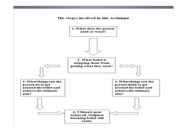The stages involved in this technique

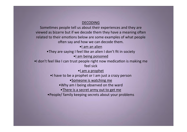#### DECODING

Sometimes people tell us about their experiences and they are viewed as bizarre but if we decode them they have a meaning often related to their emotions below are some examples of what people often say and how we can decode them.

•I am an alien

•They are saying I feel like an alien I don't fit in society

•I am being poisoned

•I don't feel like I can trust people right now medication is making me feel sick

•I am a prophet

•I have to be a prophet or I am just a crazy person

• Someone is watching me

•Why am I being observed on the ward

•There is a secret army out to get me

•People/ family keeping secrets about your problems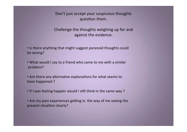Don't just accept your suspicious thoughts question them.

Challenge the thoughts weighing up for and against the evidence.

• Is there anything that might suggest paranoid thoughts could be wrong?

• What would I say to a friend who came to me with a similar 'problem?

• Are there any alternative explanations for what seems to have happened?

• If I was feeling happier would I still think in the same way?

• Are my past experiences getting in the way of me seeing the present situation clearly?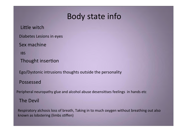## Body state info

Little witch

Diabetes Lesions in eyes

Sex machine

IBS

Thought insertion

Ego/Dystonic intrusions thoughts outside the personality

### Possessed

Peripheral neuropathy glue and alcohol abuse desensitises feelings in hands etc

### **The Devil**

Respiratory alchosis loss of breath, Taking in to much oxygen without breathing out also known as lobstering (limbs stiffen)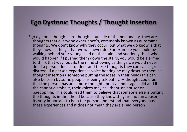### **Ego Dystonic Thoughts / Thought Insertion**

Ego dystonic thoughts are thoughts outside of the personality, they are thoughts that everyone experience's, commonly known as automatic thoughts. We don't know why they occur, but what we do know is that they show us things that we will never do. For example you could be walking behind your young child on the stairs and suddenly think what would happen if I pushed them down the stairs, you would be alarmed to think that way, but its the mind showing us things we would never do. If a person doesn't understand these thoughts they can cause great distress. If a person experiences voice hearing he may describe them as thought insertion (someone putting the ideas in their head) this can also be seen by some people as being telepathic. A thought could be that the person has an in pure thought about a under age child and if the cannot dismiss it, their voices may call them an abuser or paedophile. This could lead them to believe that someone else is putting the thoughts in their head because they know they are not an abuser. Its very important to help the person understand that everyone has these experiences and it does not mean they are a bad person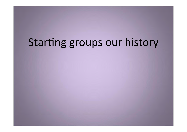# Starting groups our history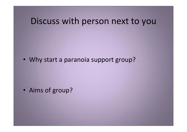# Discuss with person next to you

• Why start a paranoia support group?

• Aims of group?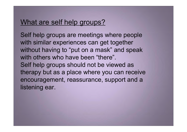### What are self help groups?

Self help groups are meetings where people with similar experiences can get together without having to "put on a mask" and speak with others who have been "there". Self help groups should not be viewed as therapy but as a place where you can receive encouragement, reassurance, support and a listening ear.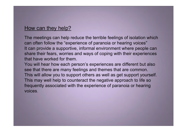### How can they help?

The meetings can help reduce the terrible feelings of isolation which can often follow the "experience of paranoia or hearing voices" It can provide a supportive, informal environment where people can share their fears, worries and ways of coping with their experiences that have worked for them.

You will hear how each person's experiences are different but also see that there are many feelings and themes that are common. This will allow you to support others as well as get support yourself. This may well help to counteract the negative approach to life so frequently associated with the experience of paranoia or hearing voices.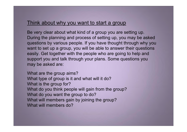### Think about why you want to start a group

Be very clear about what kind of a group you are setting up. During the planning and process of setting up, you may be asked questions by various people. If you have thought through why you want to set up a group, you will be able to answer their questions easily. Get together with the people who are going to help and support you and talk through your plans. Some questions you may be asked are:

What are the group aims? What type of group is it and what will it do? What is the group for? What do you think people will gain from the group? What do you want the group to do? What will members gain by joining the group? What will members do?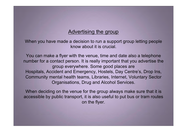### Advertising the group

When you have made a decision to run a support group letting people know about it is crucial.

You can make a flyer with the venue, time and date also a telephone number for a contact person. It is really important that you advertise the group everywhere. Some good places are Hospitals, Accident and Emergency, Hostels, Day Centre's, Drop Ins, Community mental health teams, Libraries, Internet, Voluntary Sector Organisations, Drug and Alcohol Services.

When deciding on the venue for the group always make sure that it is accessible by public transport, it is also useful to put bus or tram routes on the flyer.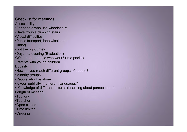### Checklist for meetings

**Accessibility** 

•For people who use wheelchairs

•Have trouble climbing stairs

•Visual difficulties

•Public transport, lonely/isolated **Timing** 

•Is it the right time?

•Daytime/ evening (Evaluation)

•What about people who work? (Info packs)

•Parents with young children

**Equality** 

•How do you reach different groups of people?

•Minority groups

•People who live alone

•Is your publicity in different languages?

• Knowledge of different cultures (Learning about persecution from them)

Length of meeting

•Too long

•Too short

•Open closed

•Time limited

•Ongoing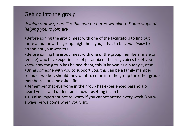### Getting into the group

*Joining a new group like this can be nerve wracking. Some ways of helping you to join are*

•Before joining the group meet with one of the facilitators to find out more about how the group might help you, it has to be *your choice* to attend not your workers.

•Before joining the group meet with one of the group members (male or female) who have experiences of paranoia or hearing voices to let you know how the group has helped them, this in known as a buddy system.

•Bring someone with you to support you, this can be a family member, friend or worker, should they want to come into the group the other group members should be asked first.

• Remember that everyone in the group has experienced paranoia or heard voices and understands how upsetting it can be.

•It is also important not to worry if you cannot attend every week. You will always be welcome when you visit.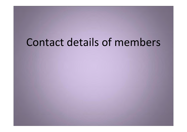# Contact details of members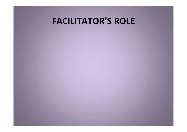# **FACILITATOR'S ROLE**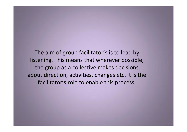The aim of group facilitator's is to lead by listening. This means that wherever possible, the group as a collective makes decisions about direction, activities, changes etc. It is the facilitator's role to enable this process.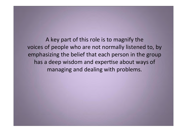A key part of this role is to magnify the voices of people who are not normally listened to, by emphasizing the belief that each person in the group has a deep wisdom and expertise about ways of managing and dealing with problems.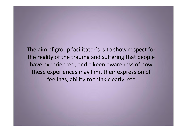The aim of group facilitator's is to show respect for the reality of the trauma and suffering that people have experienced, and a keen awareness of how these experiences may limit their expression of feelings, ability to think clearly, etc.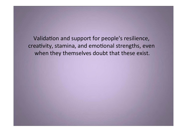Validation and support for people's resilience, creativity, stamina, and emotional strengths, even when they themselves doubt that these exist.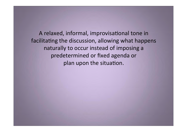A relaxed, informal, improvisational tone in facilitating the discussion, allowing what happens naturally to occur instead of imposing a predetermined or fixed agenda or plan upon the situation.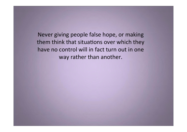Never giving people false hope, or making them think that situations over which they have no control will in fact turn out in one way rather than another.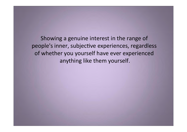Showing a genuine interest in the range of people's inner, subjective experiences, regardless of whether you yourself have ever experienced anything like them yourself.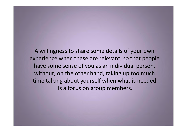A willingness to share some details of your own experience when these are relevant, so that people have some sense of you as an individual person, without, on the other hand, taking up too much time talking about yourself when what is needed is a focus on group members.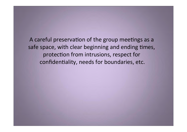A careful preservation of the group meetings as a safe space, with clear beginning and ending times, protection from intrusions, respect for confidentiality, needs for boundaries, etc.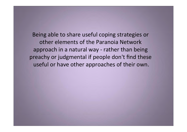Being able to share useful coping strategies or other elements of the Paranoia Network approach in a natural way - rather than being preachy or judgmental if people don't find these useful or have other approaches of their own.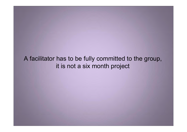# A facilitator has to be fully committed to the group, it is not a six month project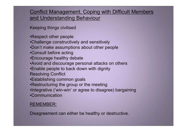## Conflict Management, Coping with Difficult Members and Understanding Behaviour

Keeping things civilised

•Respect other people

•Challenge constructively and sensitively

•Don't make assumptions about other people

- •Consult before acting
- •Encourage healthy debate
- •Avoid and discourage personal attacks on others
- •Enable people to back down with dignity
- Resolving Conflict
- •Establishing common goals
- •Restructuring the group or the meeting

•Integrative ('win-win' or agree to disagree) bargaining

•Communication

#### REMEMBER:

Disagreement can either be healthy or destructive.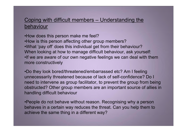## Coping with difficult members – Understanding the behaviour

•How does this person make me feel? •How is this person affecting other group members? •What 'pay off' does this individual get from their behaviour? When looking at how to manage difficult behaviour, ask yourself: •If we are aware of our own negative feelings we can deal with them more constructively

•Do they look bored/threatened/embarrassed etc? Am I feeling unnecessarily threatened because of lack of self-confidence? Do I need to intervene as group facilitator, to prevent the group from being obstructed? Other group members are an important source of allies in handling difficult behaviour

•People do not behave without reason. Recognising why a person behaves in a certain way reduces the threat. Can you help them to achieve the same thing in a different way?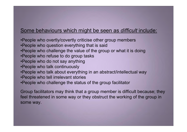### Some behaviours which might be seen as *difficult* include:

- •People who overtly/covertly criticise other group members
- •People who question everything that is said
- •People who challenge the value of the group or what it is doing
- •People who refuse to do group tasks
- •People who do not say anything
- •People who talk continuously
- •People who talk about everything in an abstract/intellectual way
- •People who tell irrelevant stories
- •People who challenge the status of the group facilitator

Group facilitators may think that a group member is difficult because; they feel threatened in some way or they obstruct the working of the group in some way.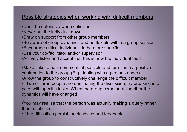#### Possible strategies when working with difficult members

- •Don't be defensive when criticised
- •Never put the individual down
- •Draw on support from other group members
- •Be aware of group dynamics and be flexible within a group session
- •Encourage critical individuals to be more specific
- •Use your co-facilitator and/or supervisor
- •Actively listen and accept that this is how the individual feels.

•Make links to past comments if possible and turn it into a positive contribution to the group (E.g. dealing with a persons anger) •Allow the group to constructively challenge the difficult member. •If two or three people are dominating the discussion, try breaking into pairs with specific tasks. When the group come back together the dynamics will have changed

•You may realise that the person was actually making a query rather than a criticism

•If the difficulties persist, seek advice and feedback.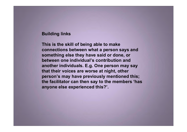#### **Building links**

**This is the skill of being able to make connections between what a person says and something else they have said or done, or between one individual's contribution and another individuals. E.g. One person may say that their voices are worse at night, other person's may have previously mentioned this; the facilitator can then say to the members 'has anyone else experienced this?'.**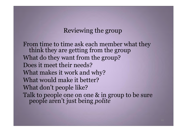# Reviewing the group

From time to time ask each member what they think they are getting from the group What do they want from the group? Does it meet their needs? What makes it work and why? What would make it better? What don't people like? Talk to people one on one & in group to be sure people aren't just being *polite*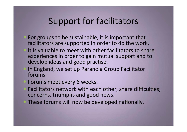# Support for facilitators

- For groups to be sustainable, it is important that facilitators are supported in order to do the work.
- It is valuable to meet with other facilitators to share experiences in order to gain mutual support and to develop ideas and good practise.
- In England, we set up Paranoia Group Facilitator forums.
- Forums meet every 6 weeks.
- Facilitators network with each other, share difficulties, concerns, triumphs and good news.
- These forums will now be developed nationally.